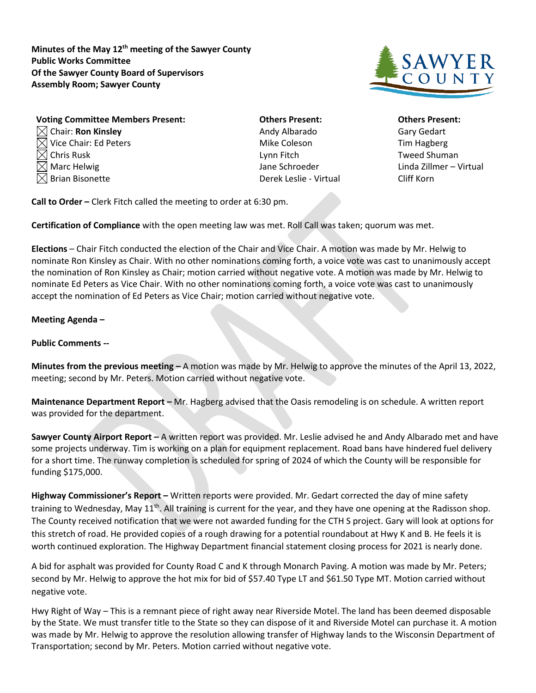**Minutes of the May 12th meeting of the Sawyer County Public Works Committee Of the Sawyer County Board of Supervisors Assembly Room; Sawyer County**



| <b>Voting Committee Members Present:</b> |
|------------------------------------------|
| $\boxtimes$ Chair: Ron Kinsley           |
| $\boxtimes$ Vice Chair: Ed Peters        |
| $\boxtimes$ Chris Rusk                   |
| $\boxtimes$ Marc Helwig                  |
| $\boxtimes$ Brian Bisonette              |

**Vothers Present: Committee Committee Committee Others Present:** Andy Albarado Gary Gedart Mike Coleson Tim Hagberg Lynn Fitch Tweed Shuman Derek Leslie - Virtual Cliff Korn

Jane Schroeder **Linda Zillmer** – Virtual

**Call to Order –** Clerk Fitch called the meeting to order at 6:30 pm.

**Certification of Compliance** with the open meeting law was met. Roll Call was taken; quorum was met.

**Elections** – Chair Fitch conducted the election of the Chair and Vice Chair. A motion was made by Mr. Helwig to nominate Ron Kinsley as Chair. With no other nominations coming forth, a voice vote was cast to unanimously accept the nomination of Ron Kinsley as Chair; motion carried without negative vote. A motion was made by Mr. Helwig to nominate Ed Peters as Vice Chair. With no other nominations coming forth, a voice vote was cast to unanimously accept the nomination of Ed Peters as Vice Chair; motion carried without negative vote.

## **Meeting Agenda –**

## **Public Comments --**

**Minutes from the previous meeting –** A motion was made by Mr. Helwig to approve the minutes of the April 13, 2022, meeting; second by Mr. Peters. Motion carried without negative vote.

**Maintenance Department Report –** Mr. Hagberg advised that the Oasis remodeling is on schedule. A written report was provided for the department.

**Sawyer County Airport Report –** A written report was provided. Mr. Leslie advised he and Andy Albarado met and have some projects underway. Tim is working on a plan for equipment replacement. Road bans have hindered fuel delivery for a short time. The runway completion is scheduled for spring of 2024 of which the County will be responsible for funding \$175,000.

**Highway Commissioner's Report –** Written reports were provided. Mr. Gedart corrected the day of mine safety training to Wednesday, May  $11<sup>th</sup>$ . All training is current for the year, and they have one opening at the Radisson shop. The County received notification that we were not awarded funding for the CTH S project. Gary will look at options for this stretch of road. He provided copies of a rough drawing for a potential roundabout at Hwy K and B. He feels it is worth continued exploration. The Highway Department financial statement closing process for 2021 is nearly done.

A bid for asphalt was provided for County Road C and K through Monarch Paving. A motion was made by Mr. Peters; second by Mr. Helwig to approve the hot mix for bid of \$57.40 Type LT and \$61.50 Type MT. Motion carried without negative vote.

Hwy Right of Way – This is a remnant piece of right away near Riverside Motel. The land has been deemed disposable by the State. We must transfer title to the State so they can dispose of it and Riverside Motel can purchase it. A motion was made by Mr. Helwig to approve the resolution allowing transfer of Highway lands to the Wisconsin Department of Transportation; second by Mr. Peters. Motion carried without negative vote.